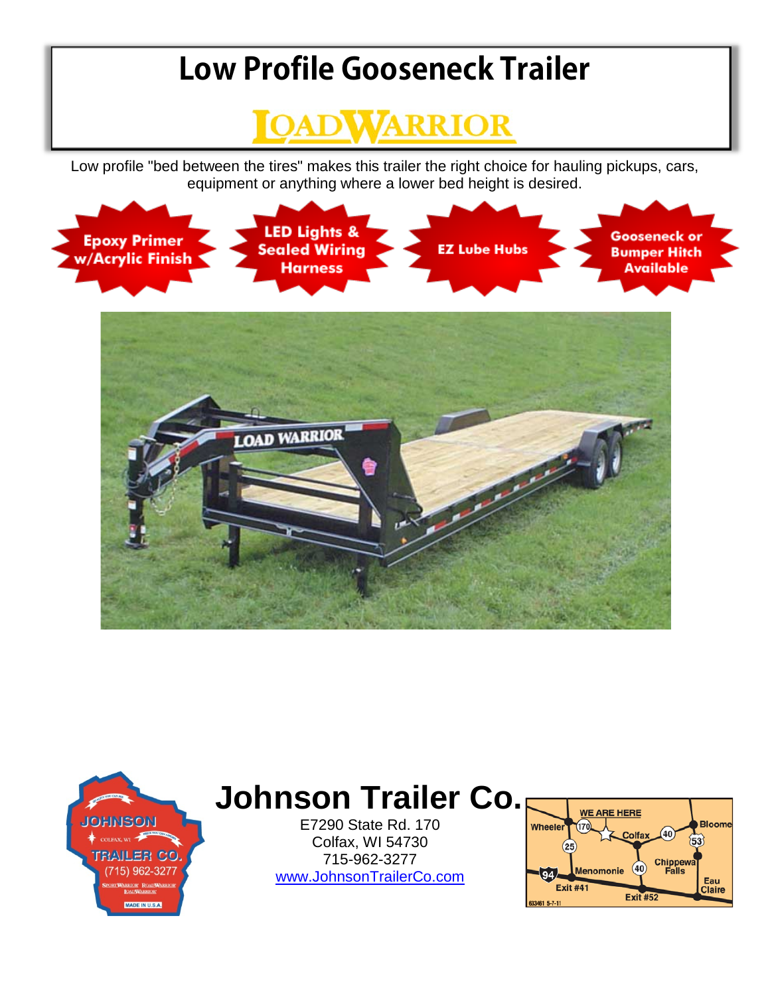## **Low Profile Gooseneck Trailer**



Low profile "bed between the tires" makes this trailer the right choice for hauling pickups, cars, equipment or anything where a lower bed height is desired.





## **Johnson Trailer Co.**

E7290 State Rd. 170 Colfax, WI 54730 715-962-3277 [www.JohnsonTrailerCo.com](http://www.johnsontrailerco.com/)